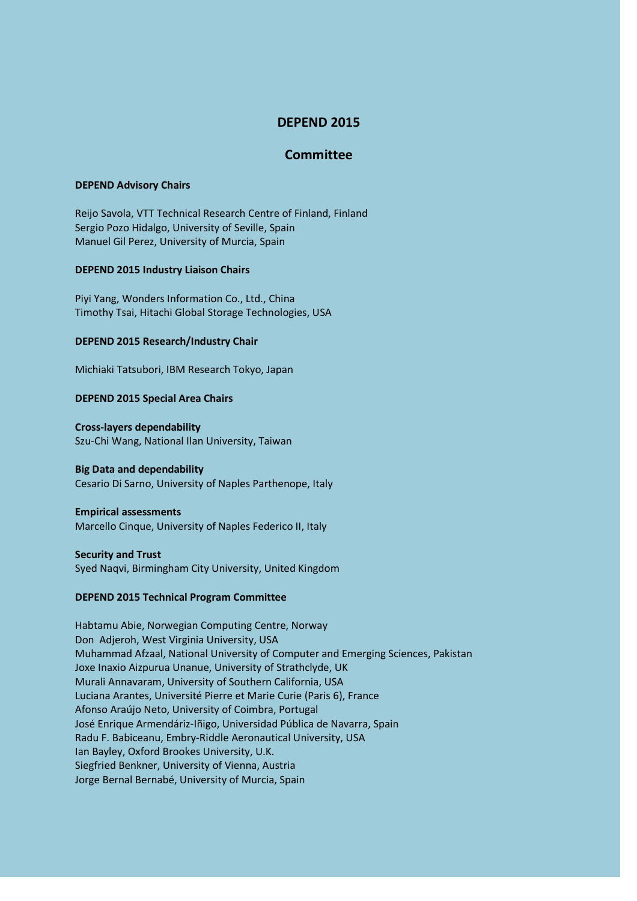# **DEPEND 2015**

## **Committee**

## **DEPEND Advisory Chairs**

Reijo Savola, VTT Technical Research Centre of Finland, Finland Sergio Pozo Hidalgo, University of Seville, Spain Manuel Gil Perez, University of Murcia, Spain

#### **DEPEND 2015 Industry Liaison Chairs**

Piyi Yang, Wonders Information Co., Ltd., China Timothy Tsai, Hitachi Global Storage Technologies, USA

#### **DEPEND 2015 Research/Industry Chair**

Michiaki Tatsubori, IBM Research Tokyo, Japan

## **DEPEND 2015 Special Area Chairs**

**Cross-layers dependability** Szu-Chi Wang, National Ilan University, Taiwan

## **Big Data and dependability**

Cesario Di Sarno, University of Naples Parthenope, Italy

## **Empirical assessments**

Marcello Cinque, University of Naples Federico II, Italy

#### **Security and Trust**

Syed Naqvi, Birmingham City University, United Kingdom

## **DEPEND 2015 Technical Program Committee**

Habtamu Abie, Norwegian Computing Centre, Norway Don Adjeroh, West Virginia University, USA Muhammad Afzaal, National University of Computer and Emerging Sciences, Pakistan Joxe Inaxio Aizpurua Unanue, University of Strathclyde, UK Murali Annavaram, University of Southern California, USA Luciana Arantes, Université Pierre et Marie Curie (Paris 6), France Afonso Araújo Neto, University of Coimbra, Portugal José Enrique Armendáriz-Iñigo, Universidad Pública de Navarra, Spain Radu F. Babiceanu, Embry-Riddle Aeronautical University, USA Ian Bayley, Oxford Brookes University, U.K. Siegfried Benkner, University of Vienna, Austria Jorge Bernal Bernabé, University of Murcia, Spain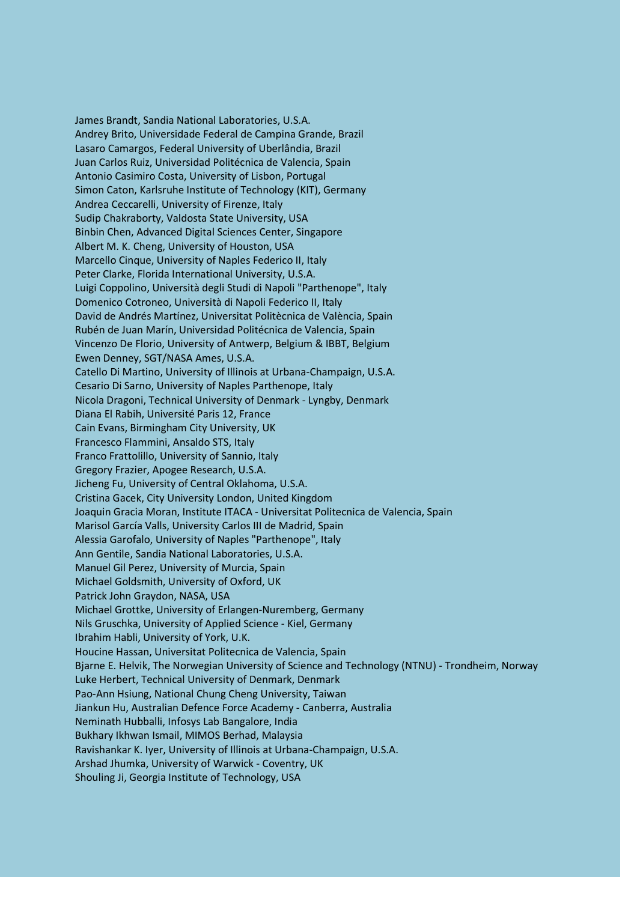James Brandt, Sandia National Laboratories, U.S.A. Andrey Brito, Universidade Federal de Campina Grande, Brazil Lasaro Camargos, Federal University of Uberlândia, Brazil Juan Carlos Ruiz, Universidad Politécnica de Valencia, Spain Antonio Casimiro Costa, University of Lisbon, Portugal Simon Caton, Karlsruhe Institute of Technology (KIT), Germany Andrea Ceccarelli, University of Firenze, Italy Sudip Chakraborty, Valdosta State University, USA Binbin Chen, Advanced Digital Sciences Center, Singapore Albert M. K. Cheng, University of Houston, USA Marcello Cinque, University of Naples Federico II, Italy Peter Clarke, Florida International University, U.S.A. Luigi Coppolino, Università degli Studi di Napoli "Parthenope", Italy Domenico Cotroneo, Università di Napoli Federico II, Italy David de Andrés Martínez, Universitat Politècnica de València, Spain Rubén de Juan Marín, Universidad Politécnica de Valencia, Spain Vincenzo De Florio, University of Antwerp, Belgium & IBBT, Belgium Ewen Denney, SGT/NASA Ames, U.S.A. Catello Di Martino, University of Illinois at Urbana-Champaign, U.S.A. Cesario Di Sarno, University of Naples Parthenope, Italy Nicola Dragoni, Technical University of Denmark - Lyngby, Denmark Diana El Rabih, Université Paris 12, France Cain Evans, Birmingham City University, UK Francesco Flammini, Ansaldo STS, Italy Franco Frattolillo, University of Sannio, Italy Gregory Frazier, Apogee Research, U.S.A. Jicheng Fu, University of Central Oklahoma, U.S.A. Cristina Gacek, City University London, United Kingdom Joaquin Gracia Moran, Institute ITACA - Universitat Politecnica de Valencia, Spain Marisol García Valls, University Carlos III de Madrid, Spain Alessia Garofalo, University of Naples "Parthenope", Italy Ann Gentile, Sandia National Laboratories, U.S.A. Manuel Gil Perez, University of Murcia, Spain Michael Goldsmith, University of Oxford, UK Patrick John Graydon, NASA, USA Michael Grottke, University of Erlangen-Nuremberg, Germany Nils Gruschka, University of Applied Science - Kiel, Germany Ibrahim Habli, University of York, U.K. Houcine Hassan, Universitat Politecnica de Valencia, Spain Bjarne E. Helvik, The Norwegian University of Science and Technology (NTNU) - Trondheim, Norway Luke Herbert, Technical University of Denmark, Denmark Pao-Ann Hsiung, National Chung Cheng University, Taiwan Jiankun Hu, Australian Defence Force Academy - Canberra, Australia Neminath Hubballi, Infosys Lab Bangalore, India Bukhary Ikhwan Ismail, MIMOS Berhad, Malaysia Ravishankar K. Iyer, University of Illinois at Urbana-Champaign, U.S.A. Arshad Jhumka, University of Warwick - Coventry, UK Shouling Ji, Georgia Institute of Technology, USA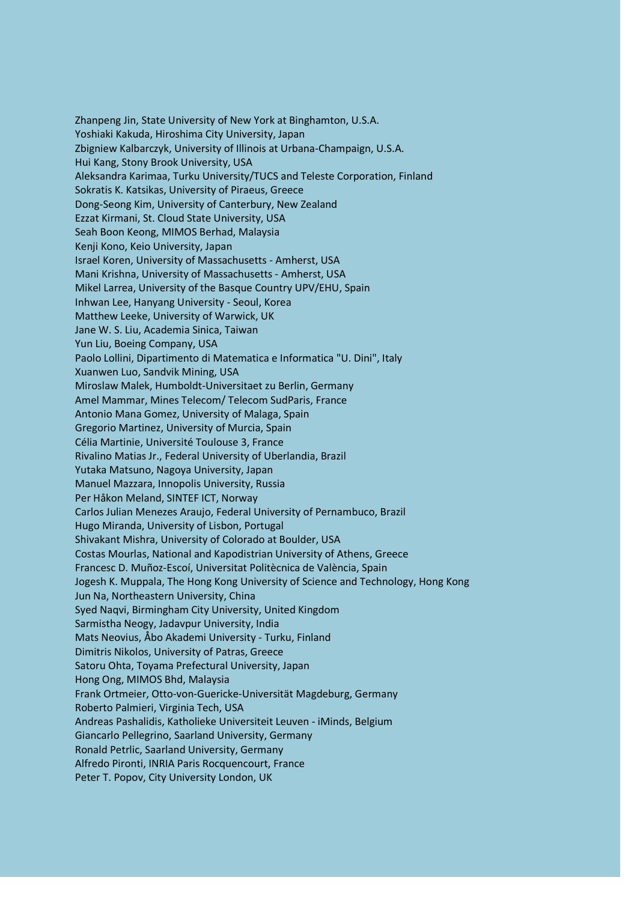Zhanpeng Jin, State University of New York at Binghamton, U.S.A. Yoshiaki Kakuda, Hiroshima City University, Japan Zbigniew Kalbarczyk, University of Illinois at Urbana-Champaign, U.S.A. Hui Kang, Stony Brook University, USA Aleksandra Karimaa, Turku University/TUCS and Teleste Corporation, Finland Sokratis K. Katsikas, University of Piraeus, Greece Dong-Seong Kim, University of Canterbury, New Zealand Ezzat Kirmani, St. Cloud State University, USA Seah Boon Keong, MIMOS Berhad, Malaysia Kenji Kono, Keio University, Japan Israel Koren, University of Massachusetts - Amherst, USA Mani Krishna, University of Massachusetts - Amherst, USA Mikel Larrea, University of the Basque Country UPV/EHU, Spain Inhwan Lee, Hanyang University - Seoul, Korea Matthew Leeke, University of Warwick, UK Jane W. S. Liu, Academia Sinica, Taiwan Yun Liu, Boeing Company, USA Paolo Lollini, Dipartimento di Matematica e Informatica "U. Dini", Italy Xuanwen Luo, Sandvik Mining, USA Miroslaw Malek, Humboldt-Universitaet zu Berlin, Germany Amel Mammar, Mines Telecom/ Telecom SudParis, France Antonio Mana Gomez, University of Malaga, Spain Gregorio Martinez, University of Murcia, Spain Célia Martinie, Université Toulouse 3, France Rivalino Matias Jr., Federal University of Uberlandia, Brazil Yutaka Matsuno, Nagoya University, Japan Manuel Mazzara, Innopolis University, Russia Per Håkon Meland, SINTEF ICT, Norway Carlos Julian Menezes Araujo, Federal University of Pernambuco, Brazil Hugo Miranda, University of Lisbon, Portugal Shivakant Mishra, University of Colorado at Boulder, USA Costas Mourlas, National and Kapodistrian University of Athens, Greece Francesc D. Muñoz-Escoí, Universitat Politècnica de València, Spain Jogesh K. Muppala, The Hong Kong University of Science and Technology, Hong Kong Jun Na, Northeastern University, China Syed Naqvi, Birmingham City University, United Kingdom Sarmistha Neogy, Jadavpur University, India Mats Neovius, Åbo Akademi University - Turku, Finland Dimitris Nikolos, University of Patras, Greece Satoru Ohta, Toyama Prefectural University, Japan Hong Ong, MIMOS Bhd, Malaysia Frank Ortmeier, Otto-von-Guericke-Universität Magdeburg, Germany Roberto Palmieri, Virginia Tech, USA Andreas Pashalidis, Katholieke Universiteit Leuven - iMinds, Belgium Giancarlo Pellegrino, Saarland University, Germany Ronald Petrlic, Saarland University, Germany Alfredo Pironti, INRIA Paris Rocquencourt, France Peter T. Popov, City University London, UK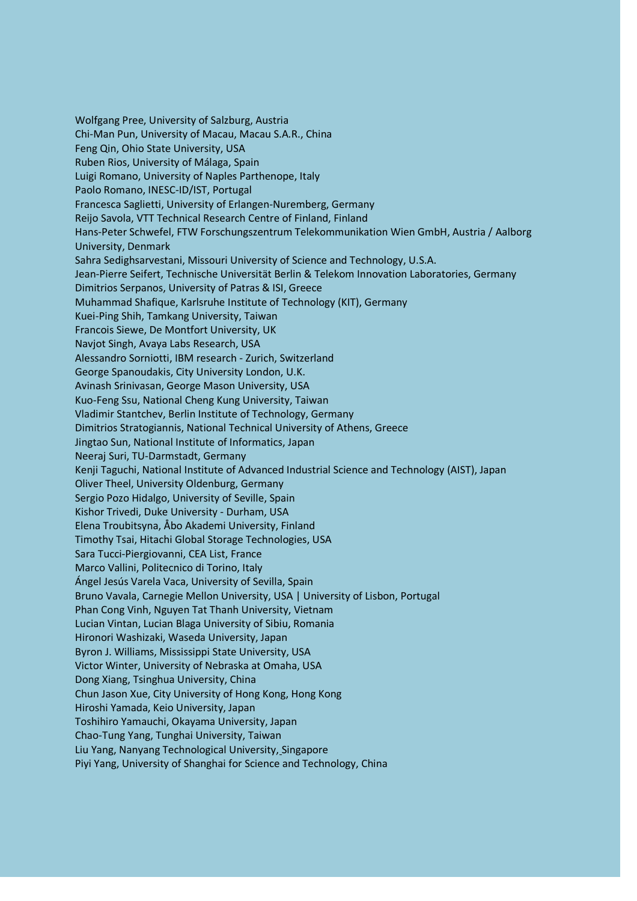Wolfgang Pree, University of Salzburg, Austria Chi-Man Pun, University of Macau, Macau S.A.R., China Feng Qin, Ohio State University, USA Ruben Rios, University of Málaga, Spain Luigi Romano, University of Naples Parthenope, Italy Paolo Romano, INESC-ID/IST, Portugal Francesca Saglietti, University of Erlangen-Nuremberg, Germany Reijo Savola, VTT Technical Research Centre of Finland, Finland Hans-Peter Schwefel, FTW Forschungszentrum Telekommunikation Wien GmbH, Austria / Aalborg University, Denmark Sahra Sedighsarvestani, Missouri University of Science and Technology, U.S.A. Jean-Pierre Seifert, Technische Universität Berlin & Telekom Innovation Laboratories, Germany Dimitrios Serpanos, University of Patras & ISI, Greece Muhammad Shafique, Karlsruhe Institute of Technology (KIT), Germany Kuei-Ping Shih, Tamkang University, Taiwan Francois Siewe, De Montfort University, UK Navjot Singh, Avaya Labs Research, USA Alessandro Sorniotti, IBM research - Zurich, Switzerland George Spanoudakis, City University London, U.K. Avinash Srinivasan, George Mason University, USA Kuo-Feng Ssu, National Cheng Kung University, Taiwan Vladimir Stantchev, Berlin Institute of Technology, Germany Dimitrios Stratogiannis, National Technical University of Athens, Greece Jingtao Sun, National Institute of Informatics, Japan Neeraj Suri, TU-Darmstadt, Germany Kenji Taguchi, National Institute of Advanced Industrial Science and Technology (AIST), Japan Oliver Theel, University Oldenburg, Germany Sergio Pozo Hidalgo, University of Seville, Spain Kishor Trivedi, Duke University - Durham, USA Elena Troubitsyna, Åbo Akademi University, Finland Timothy Tsai, Hitachi Global Storage Technologies, USA Sara Tucci-Piergiovanni, CEA List, France Marco Vallini, Politecnico di Torino, Italy Ángel Jesús Varela Vaca, University of Sevilla, Spain Bruno Vavala, Carnegie Mellon University, USA | University of Lisbon, Portugal Phan Cong Vinh, Nguyen Tat Thanh University, Vietnam Lucian Vintan, Lucian Blaga University of Sibiu, Romania Hironori Washizaki, Waseda University, Japan Byron J. Williams, Mississippi State University, USA Victor Winter, University of Nebraska at Omaha, USA Dong Xiang, Tsinghua University, China Chun Jason Xue, City University of Hong Kong, Hong Kong Hiroshi Yamada, Keio University, Japan Toshihiro Yamauchi, Okayama University, Japan Chao-Tung Yang, Tunghai University, Taiwan Liu Yang, Nanyang Technological University, Singapore Piyi Yang, University of Shanghai for Science and Technology, China